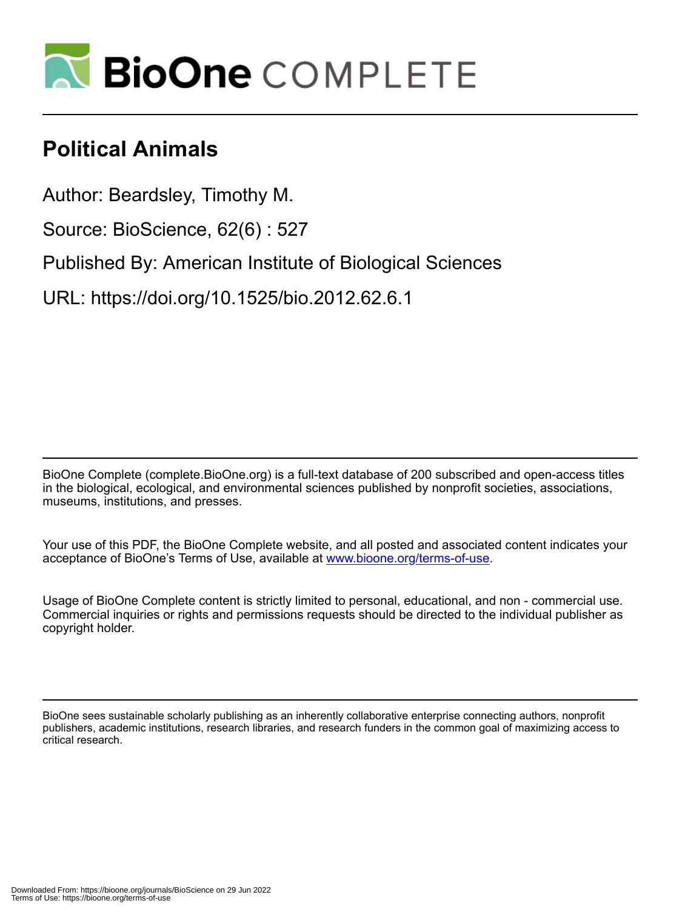

## **Political Animals**

Author: Beardsley, Timothy M. Source: BioScience, 62(6) : 527 Published By: American Institute of Biological Sciences URL: https://doi.org/10.1525/bio.2012.62.6.1

BioOne Complete (complete.BioOne.org) is a full-text database of 200 subscribed and open-access titles in the biological, ecological, and environmental sciences published by nonprofit societies, associations, museums, institutions, and presses.

Your use of this PDF, the BioOne Complete website, and all posted and associated content indicates your acceptance of BioOne's Terms of Use, available at www.bioone.org/terms-of-use.

Usage of BioOne Complete content is strictly limited to personal, educational, and non - commercial use. Commercial inquiries or rights and permissions requests should be directed to the individual publisher as copyright holder.

BioOne sees sustainable scholarly publishing as an inherently collaborative enterprise connecting authors, nonprofit publishers, academic institutions, research libraries, and research funders in the common goal of maximizing access to critical research.